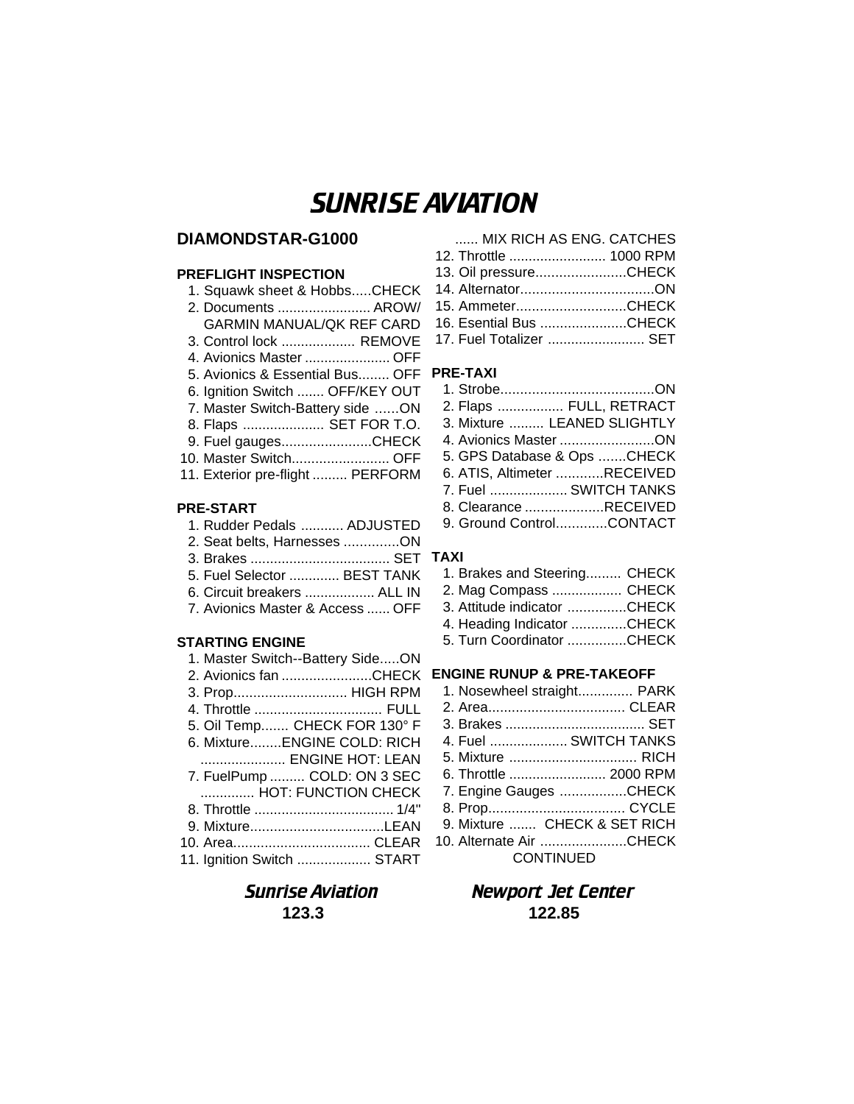# SUNRISE AVIATION

## **DIAMONDSTAR-G1000**

### **PREFLIGHT INSPECTION**

| 1. Squawk sheet & HobbsCHECK     |
|----------------------------------|
| 2. Documents  AROW/              |
| <b>GARMIN MANUAL/QK REF CARD</b> |
| 3. Control lock  REMOVE          |
| 4. Avionics Master  OFF          |
| 5. Avionics & Essential Bus OFF  |
| 6. Ignition Switch  OFF/KEY OUT  |
| 7. Master Switch-Battery side ON |
| 8. Flaps  SET FOR T.O.           |
| 9. Fuel gaugesCHECK              |
| 10. Master Switch OFF            |
| 11. Exterior pre-flight  PERFORM |
|                                  |

### **PRE-START**

- 1. Rudder Pedals ........... ADJUSTED
- 2. Seat belts, Harnesses ..............ON
- 3. Brakes .................................... SET **TAXI**
- 5. Fuel Selector ............. BEST TANK
- 6. Circuit breakers .................. ALL IN
- 7. Avionics Master & Access ...... OFF

## **STARTING ENGINE**

| 1. Master Switch--Battery SideON |
|----------------------------------|
| 2. Avionics fan CHECK            |
| 3. Prop HIGH RPM                 |
| 4. Throttle  FULL                |
| 5. Oil Temp CHECK FOR 130° F     |
| 6. MixtureENGINE COLD: RICH      |
| ENGINE HOT: LEAN                 |
| 7. FuelPump  COLD: ON 3 SEC      |
| HOT: FUNCTION CHECK              |
|                                  |
| 9. MixtureLEAN                   |
|                                  |
| 11. Ignition Switch  START       |

| MIX RICH AS ENG. CATCHES |  |
|--------------------------|--|
| 12. Throttle  1000 RPM   |  |
| 13. Oil pressureCHECK    |  |
|                          |  |
| 15. AmmeterCHECK         |  |
| 16. Esential Bus CHECK   |  |
| 17. Fuel Totalizer  SET  |  |
|                          |  |

## **PRE-TAXI**

| 2. Flaps  FULL, RETRACT     |  |
|-----------------------------|--|
| 3. Mixture  LEANED SLIGHTLY |  |
| 4. Avionics Master ON       |  |
| 5. GPS Database & Ops CHECK |  |
| 6. ATIS, Altimeter RECEIVED |  |
| 7. Fuel  SWITCH TANKS       |  |
| 8. Clearance RECEIVED       |  |
| 9. Ground ControlCONTACT    |  |
|                             |  |

| $\mathbf{L}$                 |  |
|------------------------------|--|
| 1. Brakes and Steering CHECK |  |
| 2. Mag Compass  CHECK        |  |
| 3. Attitude indicator CHECK  |  |
| 4. Heading Indicator CHECK   |  |

5. Turn Coordinator ...............CHECK

## **ENGINE RUNUP & PRE-TAKEOFF**

| 1. Nosewheel straight PARK   |
|------------------------------|
|                              |
|                              |
| 4. Fuel  SWITCH TANKS        |
|                              |
| 6. Throttle  2000 RPM        |
| 7. Engine Gauges CHECK       |
|                              |
| 9. Mixture  CHECK & SET RICH |
| 10. Alternate Air CHECK      |
| <b>CONTINUED</b>             |

## Sunrise Aviation Newport Jet Center **123.3 122.85**